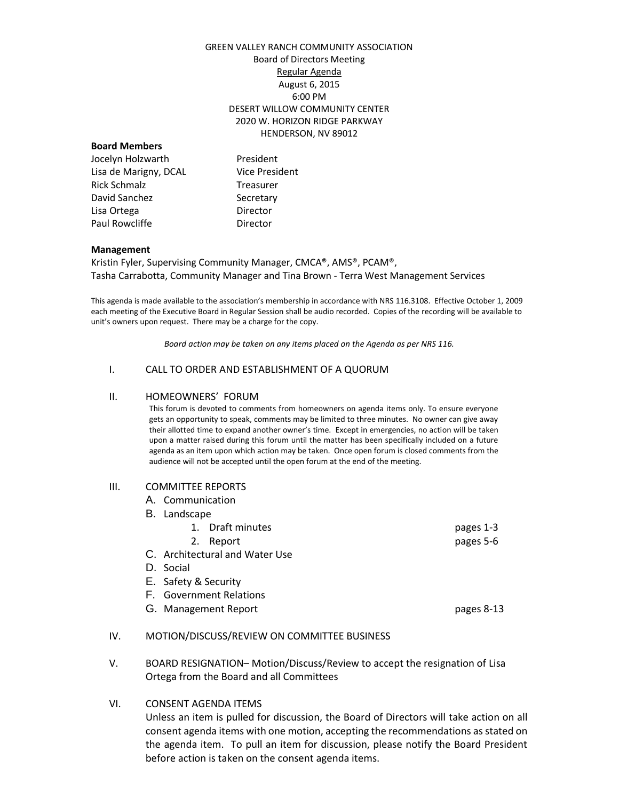## GREEN VALLEY RANCH COMMUNITY ASSOCIATION Board of Directors Meeting Regular Agenda August 6, 2015 6:00 PM DESERT WILLOW COMMUNITY CENTER 2020 W. HORIZON RIDGE PARKWAY HENDERSON, NV 89012

### **Board Members**

Jocelyn Holzwarth President Lisa de Marigny, DCAL Vice President Rick Schmalz Treasurer David Sanchez Secretary Lisa Ortega **Director** Paul Rowcliffe **Director** 

#### **Management**

Kristin Fyler, Supervising Community Manager, CMCA®, AMS®, PCAM®, Tasha Carrabotta, Community Manager and Tina Brown - Terra West Management Services

This agenda is made available to the association's membership in accordance with NRS 116.3108. Effective October 1, 2009 each meeting of the Executive Board in Regular Session shall be audio recorded. Copies of the recording will be available to unit's owners upon request. There may be a charge for the copy.

*Board action may be taken on any items placed on the Agenda as per NRS 116.*

### I. CALL TO ORDER AND ESTABLISHMENT OF A QUORUM

#### II. HOMEOWNERS' FORUM

This forum is devoted to comments from homeowners on agenda items only. To ensure everyone gets an opportunity to speak, comments may be limited to three minutes. No owner can give away their allotted time to expand another owner's time. Except in emergencies, no action will be taken upon a matter raised during this forum until the matter has been specifically included on a future agenda as an item upon which action may be taken. Once open forum is closed comments from the audience will not be accepted until the open forum at the end of the meeting.

## III. COMMITTEE REPORTS

- A. Communication
- B. Landscape
	- 1. Draft minutes pages 1-3
- 2. Report pages 5-6 C. Architectural and Water Use
- D. Social
- E. Safety & Security
- F. Government Relations
- G. Management Report **pages 8-13**

## IV. MOTION/DISCUSS/REVIEW ON COMMITTEE BUSINESS

V. BOARD RESIGNATION– Motion/Discuss/Review to accept the resignation of Lisa Ortega from the Board and all Committees

# VI. CONSENT AGENDA ITEMS

Unless an item is pulled for discussion, the Board of Directors will take action on all consent agenda items with one motion, accepting the recommendations as stated on the agenda item. To pull an item for discussion, please notify the Board President before action is taken on the consent agenda items.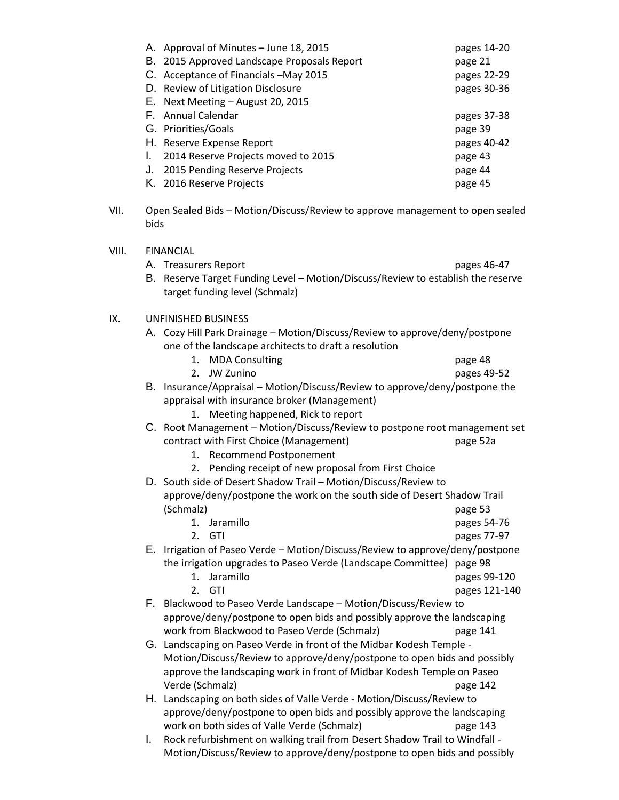| A. Approval of Minutes - June 18, 2015      | pages 14-20 |
|---------------------------------------------|-------------|
| B. 2015 Approved Landscape Proposals Report | page 21     |
| C. Acceptance of Financials - May 2015      | pages 22-29 |
| D. Review of Litigation Disclosure          | pages 30-36 |
| E. Next Meeting - August 20, 2015           |             |
| F. Annual Calendar                          | pages 37-38 |
| G. Priorities/Goals                         | page 39     |
| H. Reserve Expense Report                   | pages 40-42 |
| 2014 Reserve Projects moved to 2015         | page 43     |
| J. 2015 Pending Reserve Projects            | page 44     |
| K. 2016 Reserve Projects                    | page 45     |

VII. Open Sealed Bids – Motion/Discuss/Review to approve management to open sealed bids

| VIII. |    | <b>FINANCIAL</b><br>A. Treasurers Report<br>B. Reserve Target Funding Level - Motion/Discuss/Review to establish the reserve                | pages 46-47   |  |
|-------|----|---------------------------------------------------------------------------------------------------------------------------------------------|---------------|--|
|       |    | target funding level (Schmalz)                                                                                                              |               |  |
| IX.   |    | <b>UNFINISHED BUSINESS</b>                                                                                                                  |               |  |
|       |    | A. Cozy Hill Park Drainage - Motion/Discuss/Review to approve/deny/postpone<br>one of the landscape architects to draft a resolution        |               |  |
|       |    | <b>MDA Consulting</b><br>1.                                                                                                                 | page 48       |  |
|       |    | 2.<br><b>JW Zunino</b>                                                                                                                      | pages 49-52   |  |
|       |    | B. Insurance/Appraisal - Motion/Discuss/Review to approve/deny/postpone the<br>appraisal with insurance broker (Management)                 |               |  |
|       |    | Meeting happened, Rick to report<br>1.<br>C. Root Management - Motion/Discuss/Review to postpone root management set                        |               |  |
|       |    | contract with First Choice (Management)                                                                                                     | page 52a      |  |
|       |    | <b>Recommend Postponement</b><br>1.                                                                                                         |               |  |
|       |    | Pending receipt of new proposal from First Choice<br>2.                                                                                     |               |  |
|       |    | D. South side of Desert Shadow Trail - Motion/Discuss/Review to                                                                             |               |  |
|       |    | approve/deny/postpone the work on the south side of Desert Shadow Trail                                                                     |               |  |
|       |    | (Schmalz)                                                                                                                                   | page 53       |  |
|       |    | 1. Jaramillo                                                                                                                                | pages 54-76   |  |
|       |    | 2.<br>GTI                                                                                                                                   | pages 77-97   |  |
|       |    | E. Irrigation of Paseo Verde - Motion/Discuss/Review to approve/deny/postpone                                                               |               |  |
|       |    | the irrigation upgrades to Paseo Verde (Landscape Committee) page 98                                                                        |               |  |
|       |    | Jaramillo<br>1.                                                                                                                             | pages 99-120  |  |
|       |    | GTI<br>2.                                                                                                                                   |               |  |
|       |    |                                                                                                                                             | pages 121-140 |  |
|       |    | F. Blackwood to Paseo Verde Landscape - Motion/Discuss/Review to<br>approve/deny/postpone to open bids and possibly approve the landscaping |               |  |
|       |    |                                                                                                                                             |               |  |
|       |    | work from Blackwood to Paseo Verde (Schmalz)                                                                                                | page 141      |  |
|       |    | G. Landscaping on Paseo Verde in front of the Midbar Kodesh Temple -                                                                        |               |  |
|       |    | Motion/Discuss/Review to approve/deny/postpone to open bids and possibly                                                                    |               |  |
|       |    | approve the landscaping work in front of Midbar Kodesh Temple on Paseo                                                                      |               |  |
|       |    | Verde (Schmalz)                                                                                                                             | page 142      |  |
|       |    | H. Landscaping on both sides of Valle Verde - Motion/Discuss/Review to                                                                      |               |  |
|       |    | approve/deny/postpone to open bids and possibly approve the landscaping                                                                     |               |  |
|       |    | work on both sides of Valle Verde (Schmalz)                                                                                                 | page 143      |  |
|       | I. | Rock refurbishment on walking trail from Desert Shadow Trail to Windfall -                                                                  |               |  |

Motion/Discuss/Review to approve/deny/postpone to open bids and possibly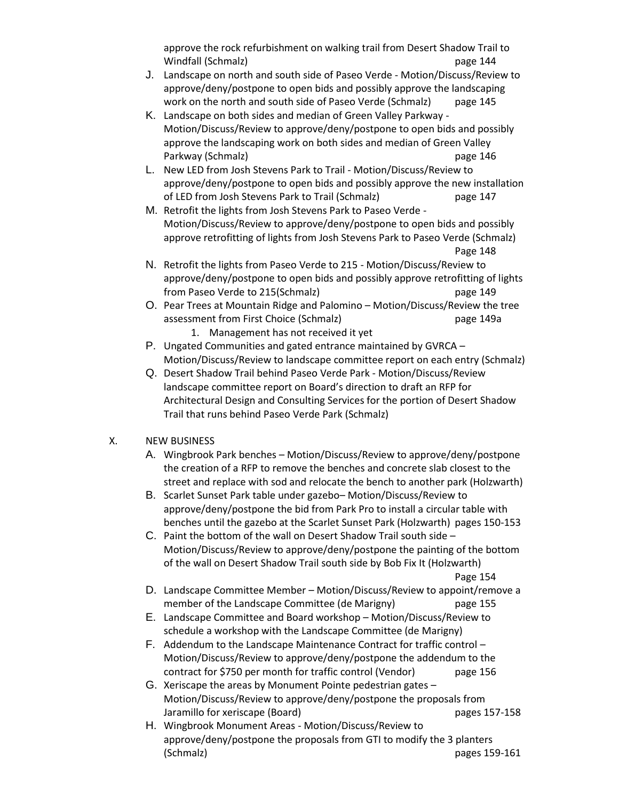approve the rock refurbishment on walking trail from Desert Shadow Trail to Windfall (Schmalz) page 144

- J. Landscape on north and south side of Paseo Verde Motion/Discuss/Review to approve/deny/postpone to open bids and possibly approve the landscaping work on the north and south side of Paseo Verde (Schmalz) page 145
- K. Landscape on both sides and median of Green Valley Parkway Motion/Discuss/Review to approve/deny/postpone to open bids and possibly approve the landscaping work on both sides and median of Green Valley Parkway (Schmalz) **page 146**
- L. New LED from Josh Stevens Park to Trail Motion/Discuss/Review to approve/deny/postpone to open bids and possibly approve the new installation of LED from Josh Stevens Park to Trail (Schmalz) page 147
- M. Retrofit the lights from Josh Stevens Park to Paseo Verde Motion/Discuss/Review to approve/deny/postpone to open bids and possibly approve retrofitting of lights from Josh Stevens Park to Paseo Verde (Schmalz) Page 148
- N. Retrofit the lights from Paseo Verde to 215 Motion/Discuss/Review to approve/deny/postpone to open bids and possibly approve retrofitting of lights from Paseo Verde to 215(Schmalz) page 149
- O. Pear Trees at Mountain Ridge and Palomino Motion/Discuss/Review the tree assessment from First Choice (Schmalz) page 149a
	- 1. Management has not received it yet
- P. Ungated Communities and gated entrance maintained by GVRCA Motion/Discuss/Review to landscape committee report on each entry (Schmalz)
- Q. Desert Shadow Trail behind Paseo Verde Park Motion/Discuss/Review landscape committee report on Board's direction to draft an RFP for Architectural Design and Consulting Services for the portion of Desert Shadow Trail that runs behind Paseo Verde Park (Schmalz)

# X. NEW BUSINESS

- A. Wingbrook Park benches Motion/Discuss/Review to approve/deny/postpone the creation of a RFP to remove the benches and concrete slab closest to the street and replace with sod and relocate the bench to another park (Holzwarth)
- B. Scarlet Sunset Park table under gazebo– Motion/Discuss/Review to approve/deny/postpone the bid from Park Pro to install a circular table with benches until the gazebo at the Scarlet Sunset Park (Holzwarth) pages 150-153
- C. Paint the bottom of the wall on Desert Shadow Trail south side Motion/Discuss/Review to approve/deny/postpone the painting of the bottom of the wall on Desert Shadow Trail south side by Bob Fix It (Holzwarth)

Page 154

- D. Landscape Committee Member Motion/Discuss/Review to appoint/remove a member of the Landscape Committee (de Marigny) page 155
- E. Landscape Committee and Board workshop Motion/Discuss/Review to schedule a workshop with the Landscape Committee (de Marigny)
- F. Addendum to the Landscape Maintenance Contract for traffic control Motion/Discuss/Review to approve/deny/postpone the addendum to the contract for \$750 per month for traffic control (Vendor) page 156
- G. Xeriscape the areas by Monument Pointe pedestrian gates Motion/Discuss/Review to approve/deny/postpone the proposals from Jaramillo for xeriscape (Board) bagges 157-158
- H. Wingbrook Monument Areas Motion/Discuss/Review to approve/deny/postpone the proposals from GTI to modify the 3 planters (Schmalz) pages 159-161